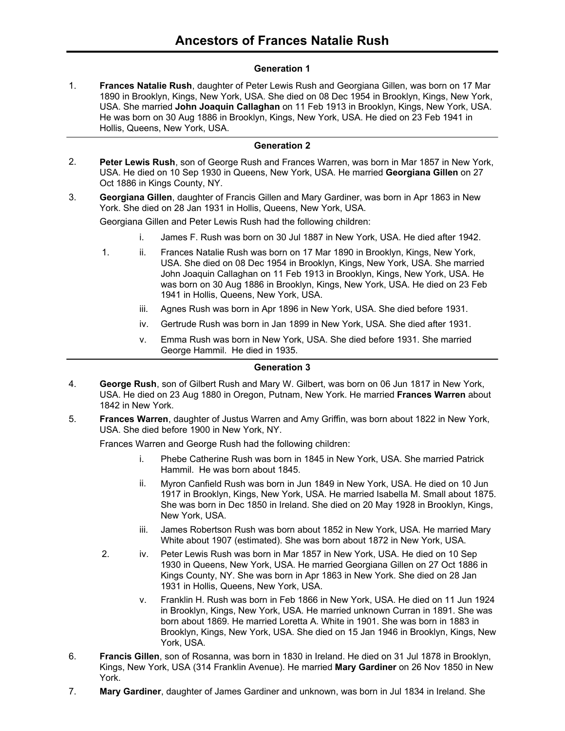## **Generation 1**

**Frances Natalie Rush**, daughter of Peter Lewis Rush and Georgiana Gillen, was born on 17 Mar 1890 in Brooklyn, Kings, New York, USA. She died on 08 Dec 1954 in Brooklyn, Kings, New York, USA. She married **John Joaquin Callaghan** on 11 Feb 1913 in Brooklyn, Kings, New York, USA. He was born on 30 Aug 1886 in Brooklyn, Kings, New York, USA. He died on 23 Feb 1941 in Hollis, Queens, New York, USA. 1.

#### **Generation 2**

- **Peter Lewis Rush**, son of George Rush and Frances Warren, was born in Mar 1857 in New York, USA. He died on 10 Sep 1930 in Queens, New York, USA. He married **Georgiana Gillen** on 27 Oct 1886 in Kings County, NY. 2.
- **Georgiana Gillen**, daughter of Francis Gillen and Mary Gardiner, was born in Apr 1863 in New York. She died on 28 Jan 1931 in Hollis, Queens, New York, USA. 3.

Georgiana Gillen and Peter Lewis Rush had the following children:

- i. James F. Rush was born on 30 Jul 1887 in New York, USA. He died after 1942.
- 1. ii. Frances Natalie Rush was born on 17 Mar 1890 in Brooklyn, Kings, New York, USA. She died on 08 Dec 1954 in Brooklyn, Kings, New York, USA. She married John Joaquin Callaghan on 11 Feb 1913 in Brooklyn, Kings, New York, USA. He was born on 30 Aug 1886 in Brooklyn, Kings, New York, USA. He died on 23 Feb 1941 in Hollis, Queens, New York, USA.
	- iii. Agnes Rush was born in Apr 1896 in New York, USA. She died before 1931.
	- iv. Gertrude Rush was born in Jan 1899 in New York, USA. She died after 1931.
	- v. Emma Rush was born in New York, USA. She died before 1931. She married George Hammil. He died in 1935.

#### **Generation 3**

- **George Rush**, son of Gilbert Rush and Mary W. Gilbert, was born on 06 Jun 1817 in New York, USA. He died on 23 Aug 1880 in Oregon, Putnam, New York. He married **Frances Warren** about 1842 in New York. 4.
- **Frances Warren**, daughter of Justus Warren and Amy Griffin, was born about 1822 in New York, USA. She died before 1900 in New York, NY. 5.

Frances Warren and George Rush had the following children:

- i. Phebe Catherine Rush was born in 1845 in New York, USA. She married Patrick Hammil. He was born about 1845.
- ii. Myron Canfield Rush was born in Jun 1849 in New York, USA. He died on 10 Jun 1917 in Brooklyn, Kings, New York, USA. He married Isabella M. Small about 1875. She was born in Dec 1850 in Ireland. She died on 20 May 1928 in Brooklyn, Kings, New York, USA.
- iii. James Robertson Rush was born about 1852 in New York, USA. He married Mary White about 1907 (estimated). She was born about 1872 in New York, USA.
- 2. iv. Peter Lewis Rush was born in Mar 1857 in New York, USA. He died on 10 Sep 1930 in Queens, New York, USA. He married Georgiana Gillen on 27 Oct 1886 in Kings County, NY. She was born in Apr 1863 in New York. She died on 28 Jan 1931 in Hollis, Queens, New York, USA.
	- v. Franklin H. Rush was born in Feb 1866 in New York, USA. He died on 11 Jun 1924 in Brooklyn, Kings, New York, USA. He married unknown Curran in 1891. She was born about 1869. He married Loretta A. White in 1901. She was born in 1883 in Brooklyn, Kings, New York, USA. She died on 15 Jan 1946 in Brooklyn, Kings, New York, USA.
- **Francis Gillen**, son of Rosanna, was born in 1830 in Ireland. He died on 31 Jul 1878 in Brooklyn, Kings, New York, USA (314 Franklin Avenue). He married **Mary Gardiner** on 26 Nov 1850 in New York. 6.
- 7. **Mary Gardiner**, daughter of James Gardiner and unknown, was born in Jul 1834 in Ireland. She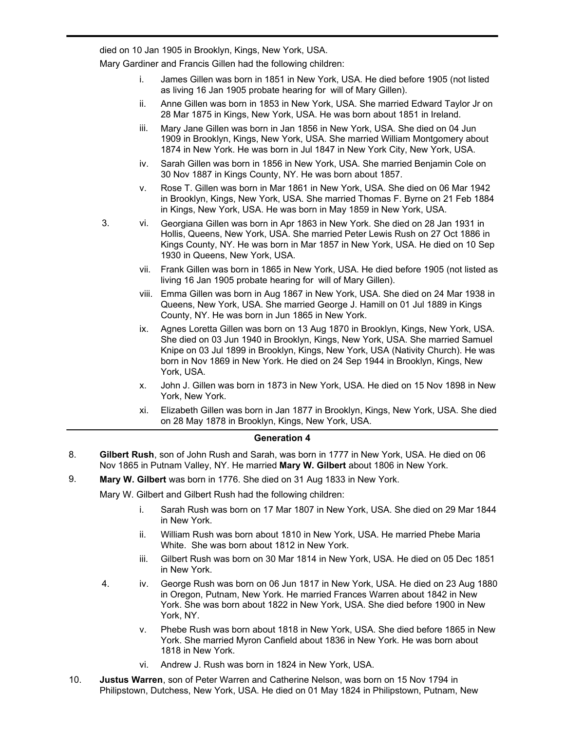**Mary Gardiner**, daughter of James Gardiner and unknown, was born in Jul 1834 in Ireland. She died on 10 Jan 1905 in Brooklyn, Kings, New York, USA.

7.

Mary Gardiner and Francis Gillen had the following children:

- i. James Gillen was born in 1851 in New York, USA. He died before 1905 (not listed as living 16 Jan 1905 probate hearing for will of Mary Gillen).
- ii. Anne Gillen was born in 1853 in New York, USA. She married Edward Taylor Jr on 28 Mar 1875 in Kings, New York, USA. He was born about 1851 in Ireland.
- iii. Mary Jane Gillen was born in Jan 1856 in New York, USA. She died on 04 Jun 1909 in Brooklyn, Kings, New York, USA. She married William Montgomery about 1874 in New York. He was born in Jul 1847 in New York City, New York, USA.
- iv. Sarah Gillen was born in 1856 in New York, USA. She married Benjamin Cole on 30 Nov 1887 in Kings County, NY. He was born about 1857.
- v. Rose T. Gillen was born in Mar 1861 in New York, USA. She died on 06 Mar 1942 in Brooklyn, Kings, New York, USA. She married Thomas F. Byrne on 21 Feb 1884 in Kings, New York, USA. He was born in May 1859 in New York, USA.
- 3. vi. Georgiana Gillen was born in Apr 1863 in New York. She died on 28 Jan 1931 in Hollis, Queens, New York, USA. She married Peter Lewis Rush on 27 Oct 1886 in Kings County, NY. He was born in Mar 1857 in New York, USA. He died on 10 Sep 1930 in Queens, New York, USA.
	- vii. Frank Gillen was born in 1865 in New York, USA. He died before 1905 (not listed as living 16 Jan 1905 probate hearing for will of Mary Gillen).
	- viii. Emma Gillen was born in Aug 1867 in New York, USA. She died on 24 Mar 1938 in Queens, New York, USA. She married George J. Hamill on 01 Jul 1889 in Kings County, NY. He was born in Jun 1865 in New York.
	- ix. Agnes Loretta Gillen was born on 13 Aug 1870 in Brooklyn, Kings, New York, USA. She died on 03 Jun 1940 in Brooklyn, Kings, New York, USA. She married Samuel Knipe on 03 Jul 1899 in Brooklyn, Kings, New York, USA (Nativity Church). He was born in Nov 1869 in New York. He died on 24 Sep 1944 in Brooklyn, Kings, New York, USA.
	- x. John J. Gillen was born in 1873 in New York, USA. He died on 15 Nov 1898 in New York, New York.
	- xi. Elizabeth Gillen was born in Jan 1877 in Brooklyn, Kings, New York, USA. She died on 28 May 1878 in Brooklyn, Kings, New York, USA.

#### **Generation 4**

- **Gilbert Rush**, son of John Rush and Sarah, was born in 1777 in New York, USA. He died on 06 Nov 1865 in Putnam Valley, NY. He married **Mary W. Gilbert** about 1806 in New York. 8.
- 9. **Mary W. Gilbert** was born in 1776. She died on 31 Aug 1833 in New York.

Mary W. Gilbert and Gilbert Rush had the following children:

- i. Sarah Rush was born on 17 Mar 1807 in New York, USA. She died on 29 Mar 1844 in New York.
- ii. William Rush was born about 1810 in New York, USA. He married Phebe Maria White. She was born about 1812 in New York.
- iii. Gilbert Rush was born on 30 Mar 1814 in New York, USA. He died on 05 Dec 1851 in New York.
- 4. iv. George Rush was born on 06 Jun 1817 in New York, USA. He died on 23 Aug 1880 in Oregon, Putnam, New York. He married Frances Warren about 1842 in New York. She was born about 1822 in New York, USA. She died before 1900 in New York, NY.
	- v. Phebe Rush was born about 1818 in New York, USA. She died before 1865 in New York. She married Myron Canfield about 1836 in New York. He was born about 1818 in New York.
	- vi. Andrew J. Rush was born in 1824 in New York, USA.
- **Justus Warren**, son of Peter Warren and Catherine Nelson, was born on 15 Nov 1794 in Philipstown, Dutchess, New York, USA. He died on 01 May 1824 in Philipstown, Putnam, New 10.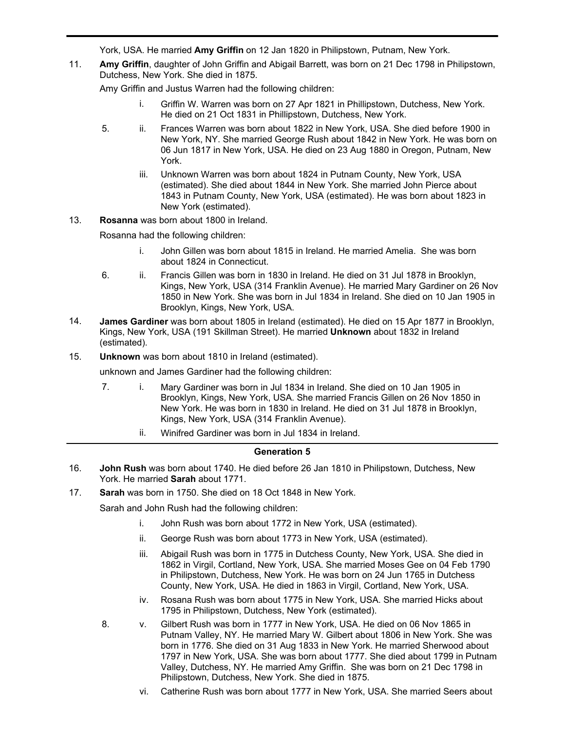Philipstown, Dutchess, New York, USA. He died on 01 May 1824 in Philipstown, Putnam, New York, USA. He married **Amy Griffin** on 12 Jan 1820 in Philipstown, Putnam, New York.

**Amy Griffin**, daughter of John Griffin and Abigail Barrett, was born on 21 Dec 1798 in Philipstown, Dutchess, New York. She died in 1875. 11.

Amy Griffin and Justus Warren had the following children:

- i. Griffin W. Warren was born on 27 Apr 1821 in Phillipstown, Dutchess, New York. He died on 21 Oct 1831 in Phillipstown, Dutchess, New York.
- 5. ii. Frances Warren was born about 1822 in New York, USA. She died before 1900 in New York, NY. She married George Rush about 1842 in New York. He was born on 06 Jun 1817 in New York, USA. He died on 23 Aug 1880 in Oregon, Putnam, New York.
	- iii. Unknown Warren was born about 1824 in Putnam County, New York, USA (estimated). She died about 1844 in New York. She married John Pierce about 1843 in Putnam County, New York, USA (estimated). He was born about 1823 in New York (estimated).
- 13. **Rosanna** was born about 1800 in Ireland.

Rosanna had the following children:

- i. John Gillen was born about 1815 in Ireland. He married Amelia. She was born about 1824 in Connecticut.
- 6. ii. Francis Gillen was born in 1830 in Ireland. He died on 31 Jul 1878 in Brooklyn, Kings, New York, USA (314 Franklin Avenue). He married Mary Gardiner on 26 Nov 1850 in New York. She was born in Jul 1834 in Ireland. She died on 10 Jan 1905 in Brooklyn, Kings, New York, USA.
- **James Gardiner** was born about 1805 in Ireland (estimated). He died on 15 Apr 1877 in Brooklyn, Kings, New York, USA (191 Skillman Street). He married **Unknown** about 1832 in Ireland (estimated). 14.
- 15. **Unknown** was born about 1810 in Ireland (estimated).

unknown and James Gardiner had the following children:

- 7. i. Mary Gardiner was born in Jul 1834 in Ireland. She died on 10 Jan 1905 in Brooklyn, Kings, New York, USA. She married Francis Gillen on 26 Nov 1850 in New York. He was born in 1830 in Ireland. He died on 31 Jul 1878 in Brooklyn, Kings, New York, USA (314 Franklin Avenue).
	- ii. Winifred Gardiner was born in Jul 1834 in Ireland.

## **Generation 5**

- **John Rush** was born about 1740. He died before 26 Jan 1810 in Philipstown, Dutchess, New York. He married **Sarah** about 1771. 16.
- 17. **Sarah** was born in 1750. She died on 18 Oct 1848 in New York.

Sarah and John Rush had the following children:

- i. John Rush was born about 1772 in New York, USA (estimated).
- ii. George Rush was born about 1773 in New York, USA (estimated).
- iii. Abigail Rush was born in 1775 in Dutchess County, New York, USA. She died in 1862 in Virgil, Cortland, New York, USA. She married Moses Gee on 04 Feb 1790 in Philipstown, Dutchess, New York. He was born on 24 Jun 1765 in Dutchess County, New York, USA. He died in 1863 in Virgil, Cortland, New York, USA.
- iv. Rosana Rush was born about 1775 in New York, USA. She married Hicks about 1795 in Philipstown, Dutchess, New York (estimated).
- 8. v. Gilbert Rush was born in 1777 in New York, USA. He died on 06 Nov 1865 in Putnam Valley, NY. He married Mary W. Gilbert about 1806 in New York. She was born in 1776. She died on 31 Aug 1833 in New York. He married Sherwood about 1797 in New York, USA. She was born about 1777. She died about 1799 in Putnam Valley, Dutchess, NY. He married Amy Griffin. She was born on 21 Dec 1798 in Philipstown, Dutchess, New York. She died in 1875.
	- vi. Catherine Rush was born about 1777 in New York, USA. She married Seers about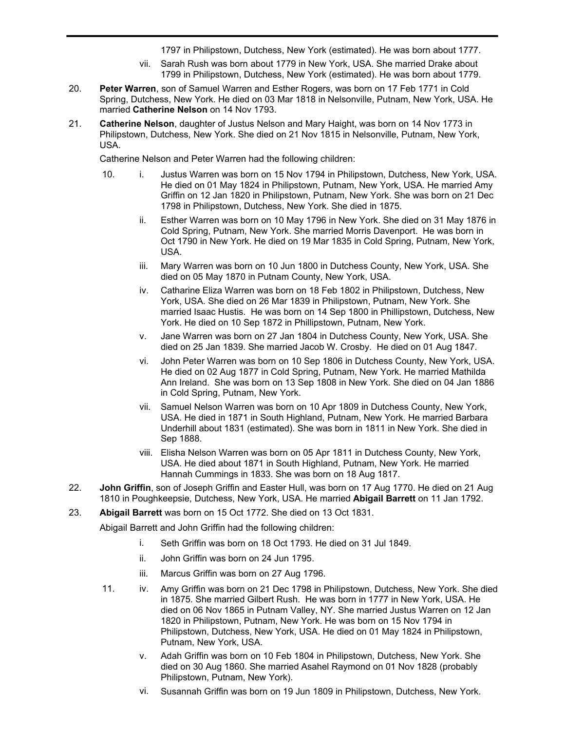vi. Catherine Rush was born about 1777 in New York, USA. She married Seers about 1797 in Philipstown, Dutchess, New York (estimated). He was born about 1777.

- vii. Sarah Rush was born about 1779 in New York, USA. She married Drake about 1799 in Philipstown, Dutchess, New York (estimated). He was born about 1779.
- **Peter Warren**, son of Samuel Warren and Esther Rogers, was born on 17 Feb 1771 in Cold Spring, Dutchess, New York. He died on 03 Mar 1818 in Nelsonville, Putnam, New York, USA. He married **Catherine Nelson** on 14 Nov 1793. 20.
- **Catherine Nelson**, daughter of Justus Nelson and Mary Haight, was born on 14 Nov 1773 in Philipstown, Dutchess, New York. She died on 21 Nov 1815 in Nelsonville, Putnam, New York, USA. 21.

Catherine Nelson and Peter Warren had the following children:

- 10. i. Justus Warren was born on 15 Nov 1794 in Philipstown, Dutchess, New York, USA. He died on 01 May 1824 in Philipstown, Putnam, New York, USA. He married Amy Griffin on 12 Jan 1820 in Philipstown, Putnam, New York. She was born on 21 Dec 1798 in Philipstown, Dutchess, New York. She died in 1875.
	- ii. Esther Warren was born on 10 May 1796 in New York. She died on 31 May 1876 in Cold Spring, Putnam, New York. She married Morris Davenport. He was born in Oct 1790 in New York. He died on 19 Mar 1835 in Cold Spring, Putnam, New York, USA.
	- iii. Mary Warren was born on 10 Jun 1800 in Dutchess County, New York, USA. She died on 05 May 1870 in Putnam County, New York, USA.
	- iv. Catharine Eliza Warren was born on 18 Feb 1802 in Philipstown, Dutchess, New York, USA. She died on 26 Mar 1839 in Philipstown, Putnam, New York. She married Isaac Hustis. He was born on 14 Sep 1800 in Phillipstown, Dutchess, New York. He died on 10 Sep 1872 in Phillipstown, Putnam, New York.
	- v. Jane Warren was born on 27 Jan 1804 in Dutchess County, New York, USA. She died on 25 Jan 1839. She married Jacob W. Crosby. He died on 01 Aug 1847.
	- vi. John Peter Warren was born on 10 Sep 1806 in Dutchess County, New York, USA. He died on 02 Aug 1877 in Cold Spring, Putnam, New York. He married Mathilda Ann Ireland. She was born on 13 Sep 1808 in New York. She died on 04 Jan 1886 in Cold Spring, Putnam, New York.
	- vii. Samuel Nelson Warren was born on 10 Apr 1809 in Dutchess County, New York, USA. He died in 1871 in South Highland, Putnam, New York. He married Barbara Underhill about 1831 (estimated). She was born in 1811 in New York. She died in Sep 1888.
	- viii. Elisha Nelson Warren was born on 05 Apr 1811 in Dutchess County, New York, USA. He died about 1871 in South Highland, Putnam, New York. He married Hannah Cummings in 1833. She was born on 18 Aug 1817.
- **John Griffin**, son of Joseph Griffin and Easter Hull, was born on 17 Aug 1770. He died on 21 Aug 1810 in Poughkeepsie, Dutchess, New York, USA. He married **Abigail Barrett** on 11 Jan 1792. 22.
- 23. **Abigail Barrett** was born on 15 Oct 1772. She died on 13 Oct 1831.

Abigail Barrett and John Griffin had the following children:

- i. Seth Griffin was born on 18 Oct 1793. He died on 31 Jul 1849.
- ii. John Griffin was born on 24 Jun 1795.
- iii. Marcus Griffin was born on 27 Aug 1796.
- 11. iv. Amy Griffin was born on 21 Dec 1798 in Philipstown, Dutchess, New York. She died in 1875. She married Gilbert Rush. He was born in 1777 in New York, USA. He died on 06 Nov 1865 in Putnam Valley, NY. She married Justus Warren on 12 Jan 1820 in Philipstown, Putnam, New York. He was born on 15 Nov 1794 in Philipstown, Dutchess, New York, USA. He died on 01 May 1824 in Philipstown, Putnam, New York, USA.
	- v. Adah Griffin was born on 10 Feb 1804 in Philipstown, Dutchess, New York. She died on 30 Aug 1860. She married Asahel Raymond on 01 Nov 1828 (probably Philipstown, Putnam, New York).
	- vi. Susannah Griffin was born on 19 Jun 1809 in Philipstown, Dutchess, New York.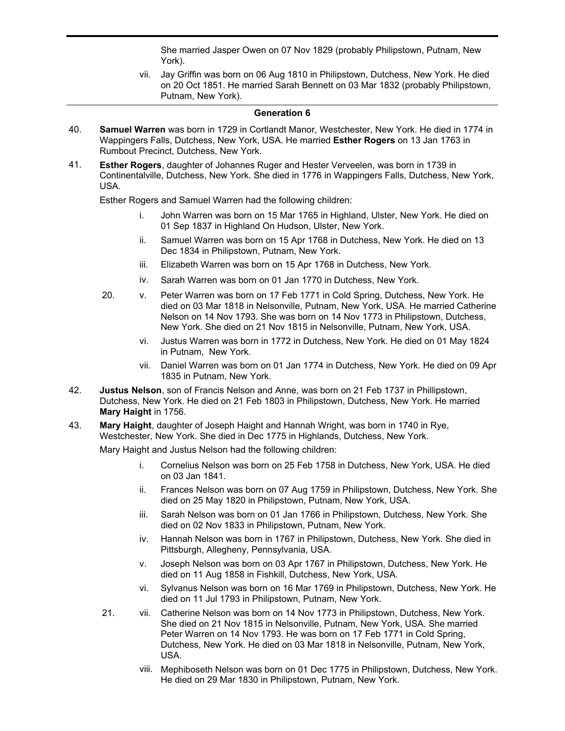She married Jasper Owen on 07 Nov 1829 (probably Philipstown, Putnam, New York).

vii. Jay Griffin was born on 06 Aug 1810 in Philipstown, Dutchess, New York. He died on 20 Oct 1851. He married Sarah Bennett on 03 Mar 1832 (probably Philipstown, Putnam, New York).

vi. Susannah Griffin was born on 19 Jun 1809 in Philipstown, Dutchess, New York.

### **Generation 6**

- **Samuel Warren** was born in 1729 in Cortlandt Manor, Westchester, New York. He died in 1774 in Wappingers Falls, Dutchess, New York, USA. He married **Esther Rogers** on 13 Jan 1763 in Rumbout Precinct, Dutchess, New York. 40.
- **Esther Rogers**, daughter of Johannes Ruger and Hester Verveelen, was born in 1739 in Continentalville, Dutchess, New York. She died in 1776 in Wappingers Falls, Dutchess, New York, USA. 41.

Esther Rogers and Samuel Warren had the following children:

- i. John Warren was born on 15 Mar 1765 in Highland, Ulster, New York. He died on 01 Sep 1837 in Highland On Hudson, Ulster, New York.
- ii. Samuel Warren was born on 15 Apr 1768 in Dutchess, New York. He died on 13 Dec 1834 in Philipstown, Putnam, New York.
- iii. Elizabeth Warren was born on 15 Apr 1768 in Dutchess, New York.
- iv. Sarah Warren was born on 01 Jan 1770 in Dutchess, New York.
- 20. v. Peter Warren was born on 17 Feb 1771 in Cold Spring, Dutchess, New York. He died on 03 Mar 1818 in Nelsonville, Putnam, New York, USA. He married Catherine Nelson on 14 Nov 1793. She was born on 14 Nov 1773 in Philipstown, Dutchess, New York. She died on 21 Nov 1815 in Nelsonville, Putnam, New York, USA.
	- vi. Justus Warren was born in 1772 in Dutchess, New York. He died on 01 May 1824 in Putnam, New York.
	- vii. Daniel Warren was born on 01 Jan 1774 in Dutchess, New York. He died on 09 Apr 1835 in Putnam, New York.
- **Justus Nelson**, son of Francis Nelson and Anne, was born on 21 Feb 1737 in Phillipstown, Dutchess, New York. He died on 21 Feb 1803 in Philipstown, Dutchess, New York. He married **Mary Haight** in 1756. 42.
- **Mary Haight**, daughter of Joseph Haight and Hannah Wright, was born in 1740 in Rye, Westchester, New York. She died in Dec 1775 in Highlands, Dutchess, New York. 43.

Mary Haight and Justus Nelson had the following children:

- i. Cornelius Nelson was born on 25 Feb 1758 in Dutchess, New York, USA. He died on 03 Jan 1841.
- ii. Frances Nelson was born on 07 Aug 1759 in Philipstown, Dutchess, New York. She died on 25 May 1820 in Philipstown, Putnam, New York, USA.
- iii. Sarah Nelson was born on 01 Jan 1766 in Philipstown, Dutchess, New York. She died on 02 Nov 1833 in Philipstown, Putnam, New York.
- iv. Hannah Nelson was born in 1767 in Philipstown, Dutchess, New York. She died in Pittsburgh, Allegheny, Pennsylvania, USA.
- v. Joseph Nelson was born on 03 Apr 1767 in Philipstown, Dutchess, New York. He died on 11 Aug 1858 in Fishkill, Dutchess, New York, USA.
- vi. Sylvanus Nelson was born on 16 Mar 1769 in Philipstown, Dutchess, New York. He died on 11 Jul 1793 in Philipstown, Putnam, New York.
- 21. vii. Catherine Nelson was born on 14 Nov 1773 in Philipstown, Dutchess, New York. She died on 21 Nov 1815 in Nelsonville, Putnam, New York, USA. She married Peter Warren on 14 Nov 1793. He was born on 17 Feb 1771 in Cold Spring, Dutchess, New York. He died on 03 Mar 1818 in Nelsonville, Putnam, New York, USA.
	- viii. Mephiboseth Nelson was born on 01 Dec 1775 in Philipstown, Dutchess, New York. He died on 29 Mar 1830 in Philipstown, Putnam, New York.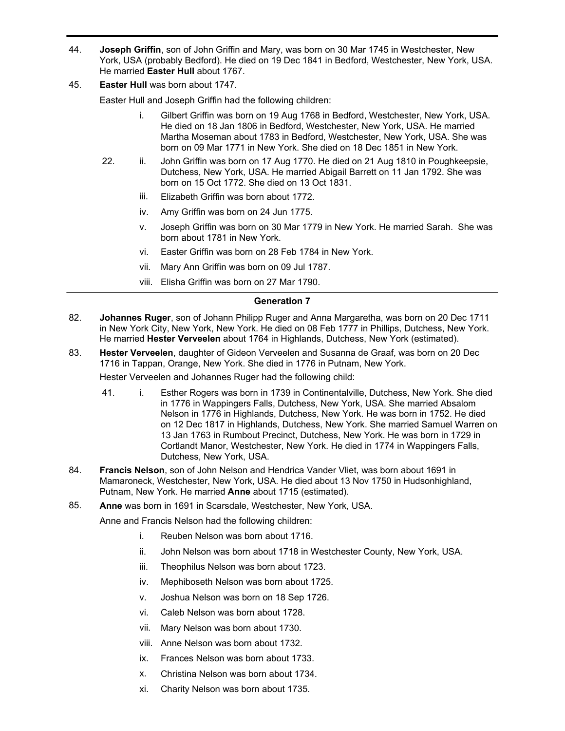- **Joseph Griffin**, son of John Griffin and Mary, was born on 30 Mar 1745 in Westchester, New York, USA (probably Bedford). He died on 19 Dec 1841 in Bedford, Westchester, New York, USA. He married **Easter Hull** about 1767. 44.
- 45. **Easter Hull** was born about 1747.

Easter Hull and Joseph Griffin had the following children:

- i. Gilbert Griffin was born on 19 Aug 1768 in Bedford, Westchester, New York, USA. He died on 18 Jan 1806 in Bedford, Westchester, New York, USA. He married Martha Moseman about 1783 in Bedford, Westchester, New York, USA. She was born on 09 Mar 1771 in New York. She died on 18 Dec 1851 in New York.
- 22. ii. John Griffin was born on 17 Aug 1770. He died on 21 Aug 1810 in Poughkeepsie, Dutchess, New York, USA. He married Abigail Barrett on 11 Jan 1792. She was born on 15 Oct 1772. She died on 13 Oct 1831.
	- iii. Elizabeth Griffin was born about 1772.
	- iv. Amy Griffin was born on 24 Jun 1775.
	- v. Joseph Griffin was born on 30 Mar 1779 in New York. He married Sarah. She was born about 1781 in New York.
	- vi. Easter Griffin was born on 28 Feb 1784 in New York.
	- vii. Mary Ann Griffin was born on 09 Jul 1787.
	- viii. Elisha Griffin was born on 27 Mar 1790.

### **Generation 7**

- **Johannes Ruger**, son of Johann Philipp Ruger and Anna Margaretha, was born on 20 Dec 1711 in New York City, New York, New York. He died on 08 Feb 1777 in Phillips, Dutchess, New York. He married **Hester Verveelen** about 1764 in Highlands, Dutchess, New York (estimated). 82.
- **Hester Verveelen**, daughter of Gideon Verveelen and Susanna de Graaf, was born on 20 Dec 1716 in Tappan, Orange, New York. She died in 1776 in Putnam, New York. 83.

Hester Verveelen and Johannes Ruger had the following child:

- 41. i. Esther Rogers was born in 1739 in Continentalville, Dutchess, New York. She died in 1776 in Wappingers Falls, Dutchess, New York, USA. She married Absalom Nelson in 1776 in Highlands, Dutchess, New York. He was born in 1752. He died on 12 Dec 1817 in Highlands, Dutchess, New York. She married Samuel Warren on 13 Jan 1763 in Rumbout Precinct, Dutchess, New York. He was born in 1729 in Cortlandt Manor, Westchester, New York. He died in 1774 in Wappingers Falls, Dutchess, New York, USA.
- **Francis Nelson**, son of John Nelson and Hendrica Vander Vliet, was born about 1691 in Mamaroneck, Westchester, New York, USA. He died about 13 Nov 1750 in Hudsonhighland, Putnam, New York. He married **Anne** about 1715 (estimated). 84.
- 85. **Anne** was born in 1691 in Scarsdale, Westchester, New York, USA.

Anne and Francis Nelson had the following children:

- i. Reuben Nelson was born about 1716.
- ii. John Nelson was born about 1718 in Westchester County, New York, USA.
- iii. Theophilus Nelson was born about 1723.
- iv. Mephiboseth Nelson was born about 1725.
- v. Joshua Nelson was born on 18 Sep 1726.
- vi. Caleb Nelson was born about 1728.
- vii. Mary Nelson was born about 1730.
- viii. Anne Nelson was born about 1732.
- ix. Frances Nelson was born about 1733.
- x. Christina Nelson was born about 1734.
- xi. Charity Nelson was born about 1735.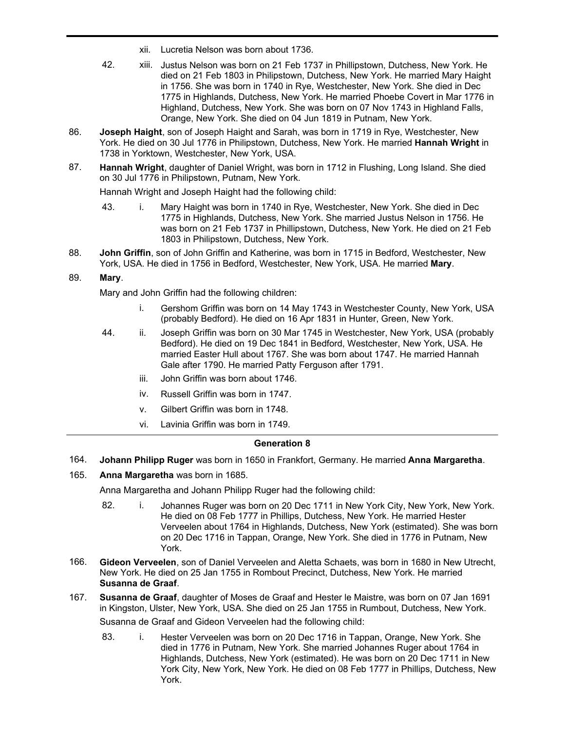- xii. Lucretia Nelson was born about 1736.
- 42. xiii. Justus Nelson was born on 21 Feb 1737 in Phillipstown, Dutchess, New York. He died on 21 Feb 1803 in Philipstown, Dutchess, New York. He married Mary Haight in 1756. She was born in 1740 in Rye, Westchester, New York. She died in Dec 1775 in Highlands, Dutchess, New York. He married Phoebe Covert in Mar 1776 in Highland, Dutchess, New York. She was born on 07 Nov 1743 in Highland Falls, Orange, New York. She died on 04 Jun 1819 in Putnam, New York.
- **Joseph Haight**, son of Joseph Haight and Sarah, was born in 1719 in Rye, Westchester, New York. He died on 30 Jul 1776 in Philipstown, Dutchess, New York. He married **Hannah Wright** in 1738 in Yorktown, Westchester, New York, USA. 86.
- **Hannah Wright**, daughter of Daniel Wright, was born in 1712 in Flushing, Long Island. She died on 30 Jul 1776 in Philipstown, Putnam, New York. 87.

Hannah Wright and Joseph Haight had the following child:

- 43. i. Mary Haight was born in 1740 in Rye, Westchester, New York. She died in Dec 1775 in Highlands, Dutchess, New York. She married Justus Nelson in 1756. He was born on 21 Feb 1737 in Phillipstown, Dutchess, New York. He died on 21 Feb 1803 in Philipstown, Dutchess, New York.
- **John Griffin**, son of John Griffin and Katherine, was born in 1715 in Bedford, Westchester, New York, USA. He died in 1756 in Bedford, Westchester, New York, USA. He married **Mary**. 88.

## 89. **Mary**.

Mary and John Griffin had the following children:

- i. Gershom Griffin was born on 14 May 1743 in Westchester County, New York, USA (probably Bedford). He died on 16 Apr 1831 in Hunter, Green, New York.
- 44. ii. Joseph Griffin was born on 30 Mar 1745 in Westchester, New York, USA (probably Bedford). He died on 19 Dec 1841 in Bedford, Westchester, New York, USA. He married Easter Hull about 1767. She was born about 1747. He married Hannah Gale after 1790. He married Patty Ferguson after 1791.
	- iii. John Griffin was born about 1746.
	- iv. Russell Griffin was born in 1747.
	- v. Gilbert Griffin was born in 1748.
	- vi. Lavinia Griffin was born in 1749.

#### **Generation 8**

- 164. **Johann Philipp Ruger** was born in 1650 in Frankfort, Germany. He married **Anna Margaretha**.
- 165. **Anna Margaretha** was born in 1685.

Anna Margaretha and Johann Philipp Ruger had the following child:

- 82. i. Johannes Ruger was born on 20 Dec 1711 in New York City, New York, New York. He died on 08 Feb 1777 in Phillips, Dutchess, New York. He married Hester Verveelen about 1764 in Highlands, Dutchess, New York (estimated). She was born on 20 Dec 1716 in Tappan, Orange, New York. She died in 1776 in Putnam, New York.
- **Gideon Verveelen**, son of Daniel Verveelen and Aletta Schaets, was born in 1680 in New Utrecht, New York. He died on 25 Jan 1755 in Rombout Precinct, Dutchess, New York. He married **Susanna de Graaf**. 166.
- **Susanna de Graaf**, daughter of Moses de Graaf and Hester le Maistre, was born on 07 Jan 1691 in Kingston, Ulster, New York, USA. She died on 25 Jan 1755 in Rumbout, Dutchess, New York. 167. Susanna de Graaf and Gideon Verveelen had the following child:
	- 83. i. Hester Verveelen was born on 20 Dec 1716 in Tappan, Orange, New York. She died in 1776 in Putnam, New York. She married Johannes Ruger about 1764 in Highlands, Dutchess, New York (estimated). He was born on 20 Dec 1711 in New York City, New York, New York. He died on 08 Feb 1777 in Phillips, Dutchess, New York.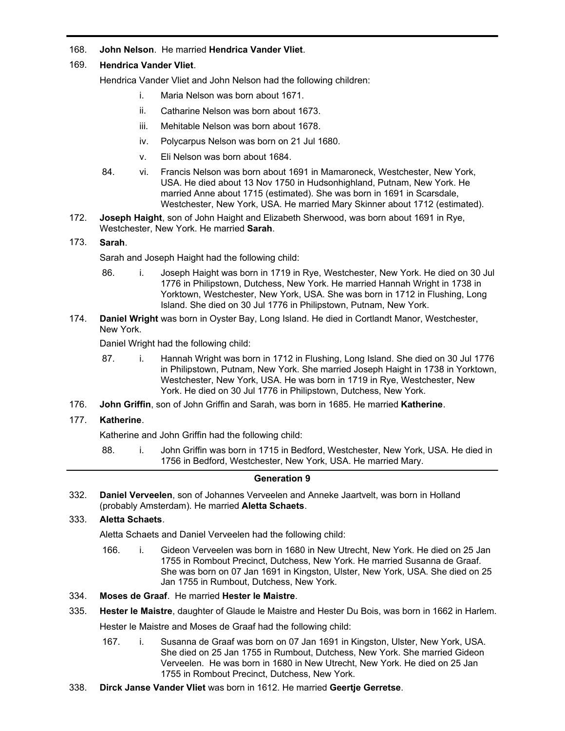## 168. **John Nelson**. He married **Hendrica Vander Vliet**.

## 169. **Hendrica Vander Vliet**.

Hendrica Vander Vliet and John Nelson had the following children:

- i. Maria Nelson was born about 1671.
- ii. Catharine Nelson was born about 1673.
- iii. Mehitable Nelson was born about 1678.
- iv. Polycarpus Nelson was born on 21 Jul 1680.
- v. Eli Nelson was born about 1684.
- 84. vi. Francis Nelson was born about 1691 in Mamaroneck, Westchester, New York, USA. He died about 13 Nov 1750 in Hudsonhighland, Putnam, New York. He married Anne about 1715 (estimated). She was born in 1691 in Scarsdale, Westchester, New York, USA. He married Mary Skinner about 1712 (estimated).
- **Joseph Haight**, son of John Haight and Elizabeth Sherwood, was born about 1691 in Rye, Westchester, New York. He married **Sarah**. 172.

## 173. **Sarah**.

Sarah and Joseph Haight had the following child:

- 86. i. Joseph Haight was born in 1719 in Rye, Westchester, New York. He died on 30 Jul 1776 in Philipstown, Dutchess, New York. He married Hannah Wright in 1738 in Yorktown, Westchester, New York, USA. She was born in 1712 in Flushing, Long Island. She died on 30 Jul 1776 in Philipstown, Putnam, New York.
- **Daniel Wright** was born in Oyster Bay, Long Island. He died in Cortlandt Manor, Westchester, New York. 174.

Daniel Wright had the following child:

- 87. i. Hannah Wright was born in 1712 in Flushing, Long Island. She died on 30 Jul 1776 in Philipstown, Putnam, New York. She married Joseph Haight in 1738 in Yorktown, Westchester, New York, USA. He was born in 1719 in Rye, Westchester, New York. He died on 30 Jul 1776 in Philipstown, Dutchess, New York.
- 176. **John Griffin**, son of John Griffin and Sarah, was born in 1685. He married **Katherine**.

## 177. **Katherine**.

Katherine and John Griffin had the following child:

88. i. John Griffin was born in 1715 in Bedford, Westchester, New York, USA. He died in 1756 in Bedford, Westchester, New York, USA. He married Mary.

## **Generation 9**

**Daniel Verveelen**, son of Johannes Verveelen and Anneke Jaartvelt, was born in Holland (probably Amsterdam). He married **Aletta Schaets**. 332.

### 333. **Aletta Schaets**.

Aletta Schaets and Daniel Verveelen had the following child:

- 166. i. Gideon Verveelen was born in 1680 in New Utrecht, New York. He died on 25 Jan 1755 in Rombout Precinct, Dutchess, New York. He married Susanna de Graaf. She was born on 07 Jan 1691 in Kingston, Ulster, New York, USA. She died on 25 Jan 1755 in Rumbout, Dutchess, New York.
- 334. **Moses de Graaf**. He married **Hester le Maistre**.
- 335. **Hester le Maistre**, daughter of Glaude le Maistre and Hester Du Bois, was born in 1662 in Harlem.

Hester le Maistre and Moses de Graaf had the following child:

- 167. i. Susanna de Graaf was born on 07 Jan 1691 in Kingston, Ulster, New York, USA. She died on 25 Jan 1755 in Rumbout, Dutchess, New York. She married Gideon Verveelen. He was born in 1680 in New Utrecht, New York. He died on 25 Jan 1755 in Rombout Precinct, Dutchess, New York.
- 338. **Dirck Janse Vander Vliet** was born in 1612. He married **Geertje Gerretse**.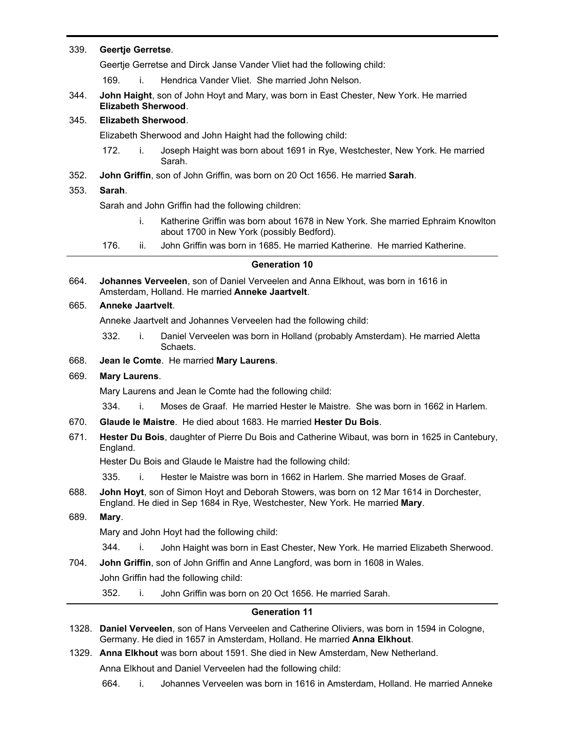### 339. **Geertje Gerretse**.

Geertje Gerretse and Dirck Janse Vander Vliet had the following child:

- 169. i. Hendrica Vander Vliet. She married John Nelson.
- **John Haight**, son of John Hoyt and Mary, was born in East Chester, New York. He married **Elizabeth Sherwood**. 344.

## 345. **Elizabeth Sherwood**.

Elizabeth Sherwood and John Haight had the following child:

- 172. i. Joseph Haight was born about 1691 in Rye, Westchester, New York. He married Sarah.
- 352. **John Griffin**, son of John Griffin, was born on 20 Oct 1656. He married **Sarah**.

### 353. **Sarah**.

Sarah and John Griffin had the following children:

- i. Katherine Griffin was born about 1678 in New York. She married Ephraim Knowlton about 1700 in New York (possibly Bedford).
- 176. ii. John Griffin was born in 1685. He married Katherine. He married Katherine.

## **Generation 10**

**Johannes Verveelen**, son of Daniel Verveelen and Anna Elkhout, was born in 1616 in Amsterdam, Holland. He married **Anneke Jaartvelt**. 664.

### 665. **Anneke Jaartvelt**.

Anneke Jaartvelt and Johannes Verveelen had the following child:

332. i. Daniel Verveelen was born in Holland (probably Amsterdam). He married Aletta Schaets.

# 668. **Jean le Comte**. He married **Mary Laurens**.

## 669. **Mary Laurens**.

Mary Laurens and Jean le Comte had the following child:

334. i. Moses de Graaf. He married Hester le Maistre. She was born in 1662 in Harlem.

- 670. **Glaude le Maistre**. He died about 1683. He married **Hester Du Bois**.
- **Hester Du Bois**, daughter of Pierre Du Bois and Catherine Wibaut, was born in 1625 in Cantebury, England. 671.

Hester Du Bois and Glaude le Maistre had the following child:

335. i. Hester le Maistre was born in 1662 in Harlem. She married Moses de Graaf.

- **John Hoyt**, son of Simon Hoyt and Deborah Stowers, was born on 12 Mar 1614 in Dorchester, England. He died in Sep 1684 in Rye, Westchester, New York. He married **Mary**. 688.
- 689. **Mary**.

Mary and John Hoyt had the following child:

344. i. John Haight was born in East Chester, New York. He married Elizabeth Sherwood.

704. **John Griffin**, son of John Griffin and Anne Langford, was born in 1608 in Wales.

John Griffin had the following child:

352. i. John Griffin was born on 20 Oct 1656. He married Sarah.

## **Generation 11**

- **Daniel Verveelen**, son of Hans Verveelen and Catherine Oliviers, was born in 1594 in Cologne, 1328. Germany. He died in 1657 in Amsterdam, Holland. He married **Anna Elkhout**.
- 1329. **Anna Elkhout** was born about 1591. She died in New Amsterdam, New Netherland.

Anna Elkhout and Daniel Verveelen had the following child:

664. i. Johannes Verveelen was born in 1616 in Amsterdam, Holland. He married Anneke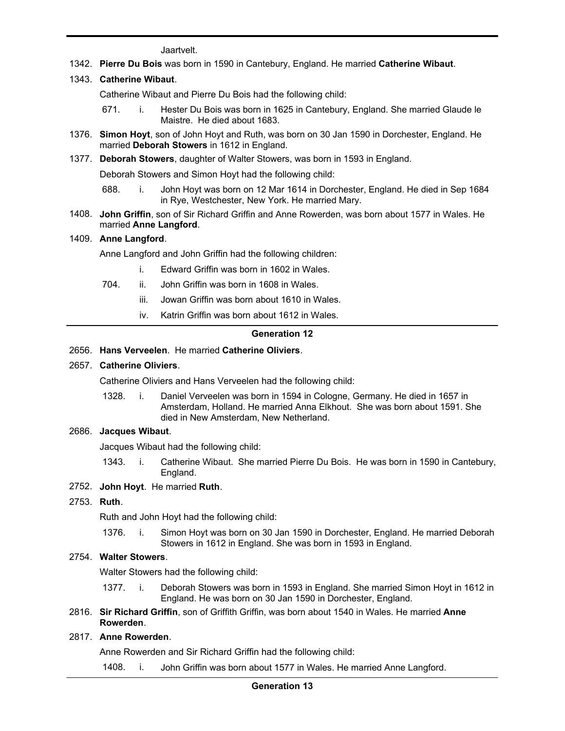Jaartvelt.

1342. **Pierre Du Bois** was born in 1590 in Cantebury, England. He married **Catherine Wibaut**.

# 1343. **Catherine Wibaut**.

Catherine Wibaut and Pierre Du Bois had the following child:

671. i. Hester Du Bois was born in 1625 in Cantebury, England. She married Glaude le Maistre. He died about 1683.

664. i. Johannes Verveelen was born in 1616 in Amsterdam, Holland. He married Anneke

- **Simon Hoyt**, son of John Hoyt and Ruth, was born on 30 Jan 1590 in Dorchester, England. He 1376. married **Deborah Stowers** in 1612 in England.
- 1377. **Deborah Stowers**, daughter of Walter Stowers, was born in 1593 in England.

Deborah Stowers and Simon Hoyt had the following child:

- 688. i. John Hoyt was born on 12 Mar 1614 in Dorchester, England. He died in Sep 1684 in Rye, Westchester, New York. He married Mary.
- **John Griffin**, son of Sir Richard Griffin and Anne Rowerden, was born about 1577 in Wales. He 1408. married **Anne Langford**.

### 1409. **Anne Langford**.

Anne Langford and John Griffin had the following children:

- i. Edward Griffin was born in 1602 in Wales.
- 704. ii. John Griffin was born in 1608 in Wales.
	- iii. Jowan Griffin was born about 1610 in Wales.
	- iv. Katrin Griffin was born about 1612 in Wales.

### **Generation 12**

## 2656. **Hans Verveelen**. He married **Catherine Oliviers**.

## 2657. **Catherine Oliviers**.

Catherine Oliviers and Hans Verveelen had the following child:

1328. i. Daniel Verveelen was born in 1594 in Cologne, Germany. He died in 1657 in Amsterdam, Holland. He married Anna Elkhout. She was born about 1591. She died in New Amsterdam, New Netherland.

## 2686. **Jacques Wibaut**.

Jacques Wibaut had the following child:

- 1343. i. Catherine Wibaut. She married Pierre Du Bois. He was born in 1590 in Cantebury, England.
- 2752. **John Hoyt**. He married **Ruth**.

## 2753. **Ruth**.

Ruth and John Hoyt had the following child:

1376. i. Simon Hoyt was born on 30 Jan 1590 in Dorchester, England. He married Deborah Stowers in 1612 in England. She was born in 1593 in England.

# 2754. **Walter Stowers**.

Walter Stowers had the following child:

- 1377. i. Deborah Stowers was born in 1593 in England. She married Simon Hoyt in 1612 in England. He was born on 30 Jan 1590 in Dorchester, England.
- **Sir Richard Griffin**, son of Griffith Griffin, was born about 1540 in Wales. He married **Anne** 2816. **Rowerden**.

## 2817. **Anne Rowerden**.

Anne Rowerden and Sir Richard Griffin had the following child:

1408. i. John Griffin was born about 1577 in Wales. He married Anne Langford.